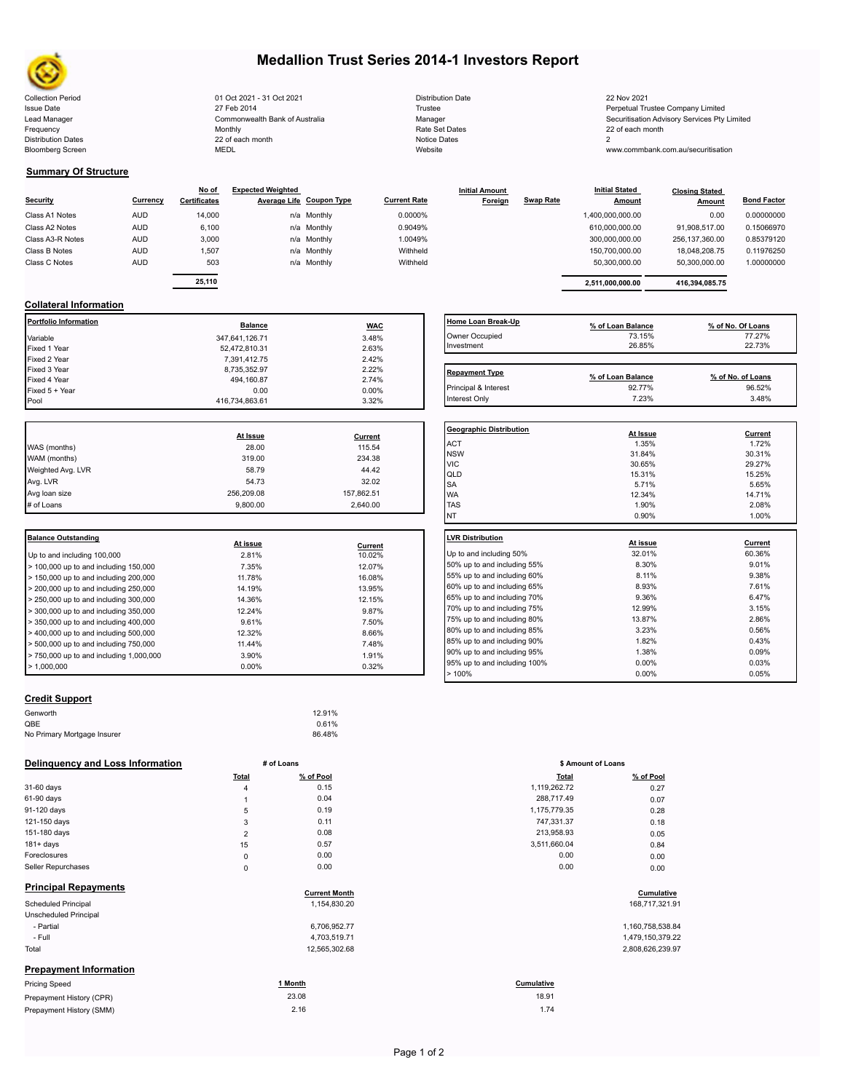

# **Medallion Trust Series 2014-1 Investors Report**

Collection Period 2021 23 Nov 2021 00t 2021 - 31 Oct 2021 23 Nov 2021 Distribution Date 22 Nov 2021 Issue Date **Trustee Company Limited** 27 Feb 2014 27 Feb 2014 **Trustee Trustee Company Limited** Perpetual Trustee Company Limited Lead Manager **Manager** Manager Securitisation Advisory Services Pty Limited Commonwealth Bank of Australia Manager Manager Securitisation Advisory Services Pty Limited Frequency 22 of each month Monthly Monthly Rate Set Dates Rate Set Dates 22 of each month Distribution Dates **Notice 2** and the control of the 22 of each month **Notice Dates** Notice Dates 2 27 Feb 2014 Commonwealth Bank of Australia Monthly 22 of each month

| Distribution Date |
|-------------------|
| Trustee           |
| Manager           |
| Rate Set Dates    |
| Notice Dates      |
| Website           |

www.commbank.com.au/securitisation

### **Summary Of Structure**

Bloomberg Screen

|                  |            | No of               | <b>Expected Weighted</b> |                          |                     | <b>Initial Amount</b> |                  | <b>Initial Stated</b> | <b>Closing Stated</b> |                    |
|------------------|------------|---------------------|--------------------------|--------------------------|---------------------|-----------------------|------------------|-----------------------|-----------------------|--------------------|
| Security         | Currency   | <b>Certificates</b> |                          | Average Life Coupon Type | <b>Current Rate</b> | Foreign               | <b>Swap Rate</b> | <b>Amount</b>         | <b>Amount</b>         | <b>Bond Factor</b> |
| Class A1 Notes   | <b>AUD</b> | 14,000              |                          | n/a Monthly              | 0.0000%             |                       |                  | 1,400,000,000.00      | 0.00                  | 0.00000000         |
| Class A2 Notes   | <b>AUD</b> | 6,100               |                          | n/a Monthly              | 0.9049%             |                       |                  | 610,000,000.00        | 91.908.517.00         | 0.15066970         |
| Class A3-R Notes | <b>AUD</b> | 3,000               |                          | n/a Monthly              | 1.0049%             |                       |                  | 300.000.000.00        | 256.137.360.00        | 0.85379120         |
| Class B Notes    | <b>AUD</b> | 1.507               |                          | n/a Monthly              | Withheld            |                       |                  | 150.700.000.00        | 18.048.208.75         | 0.11976250         |
| Class C Notes    | <b>AUD</b> | 503                 |                          | n/a Monthly              | Withheld            |                       |                  | 50.300.000.00         | 50,300,000.00         | 1.00000000         |
|                  |            |                     |                          |                          |                     |                       |                  |                       |                       |                    |
|                  |            | 25,110              |                          |                          |                     |                       |                  | 2,511,000,000.00      | 416.394.085.75        |                    |

| Currency | No of<br><b>Certificates</b> | <b>Expected Weighted</b> | Average Life Coupon Type | <b>Current Rate</b> | <b>Initial Amount</b><br>Foreign | Swap Rate | <b>Initial Stated</b><br><b>Amount</b> | <b>Closing Stated</b><br>Amount | <b>Bond Factor</b> |
|----------|------------------------------|--------------------------|--------------------------|---------------------|----------------------------------|-----------|----------------------------------------|---------------------------------|--------------------|
| AUD      | 14.000                       |                          | n/a Monthly              | 0.0000%             |                                  |           | 1,400,000,000.00                       | 0.00                            | 0.00000000         |
| AUD      | 6.100                        |                          | n/a Monthly              | 0.9049%             |                                  |           | 610.000.000.00                         | 91,908,517.00                   | 0.15066970         |
| AUD      | 3.000                        |                          | n/a Monthly              | 1.0049%             |                                  |           | 300.000.000.00                         | 256.137.360.00                  | 0.85379120         |
| AUD      | 1,507                        |                          | n/a Monthly              | Withheld            |                                  |           | 150.700.000.00                         | 18.048.208.75                   | 0.11976250         |
| AUD      | 503                          |                          | n/a Monthly              | Withheld            |                                  |           | 50.300.000.00                          | 50,300,000.00                   | 1.00000000         |
|          |                              |                          |                          |                     |                                  |           |                                        |                                 |                    |

## **Collateral Information**

| Portfolio Information | <b>Balance</b> | <b>WAC</b> | Home Loan Break-Up    | % of Loan Balance | % of No. Of Loans |
|-----------------------|----------------|------------|-----------------------|-------------------|-------------------|
| Variable              | 347,641,126.71 | 3.48%      | Owner Occupied        | 73.15%            | 77.27%            |
| Fixed 1 Year          | 52.472.810.31  | 2.63%      | Investment            | 26.85%            | 22.73%            |
| Fixed 2 Year          | 7.391.412.75   | 2.42%      |                       |                   |                   |
| Fixed 3 Year          | 8,735,352.97   | 2.22%      | <b>Repayment Type</b> |                   |                   |
| Fixed 4 Year          | 494,160.87     | 2.74%      |                       | % of Loan Balance | % of No. of Loans |
| Fixed 5 + Year        | 0.00           | $0.00\%$   | Principal & Interest  | 92.77%            | 96.52%            |
| Pool                  | 416,734,863.61 | 3.32%      | Interest Only         | 7.23%             | 3.48%             |

|                   | At Issue   | Current    |  |
|-------------------|------------|------------|--|
| WAS (months)      | 28.00      | 115.54     |  |
| WAM (months)      | 319.00     | 234.38     |  |
| Weighted Avg. LVR | 58.79      | 44.42      |  |
| Avg. LVR          | 54.73      | 32.02      |  |
| Avg loan size     | 256,209.08 | 157,862.51 |  |
| # of Loans        | 9.800.00   | 2.640.00   |  |
|                   |            |            |  |

| Balance Outstanding                     | At issue |         | <b>LVR Distribution</b> |
|-----------------------------------------|----------|---------|-------------------------|
|                                         |          | Current |                         |
| Up to and including 100,000             | 2.81%    | 10.02%  | Up to and including     |
| > 100,000 up to and including 150,000   | 7.35%    | 12.07%  | 50% up to and incl      |
| > 150,000 up to and including 200,000   | 11.78%   | 16.08%  | 55% up to and incl      |
| $> 200,000$ up to and including 250,000 | 14.19%   | 13.95%  | 60% up to and incl      |
| > 250,000 up to and including 300,000   | 14.36%   | 12.15%  | 65% up to and incl      |
| > 300,000 up to and including 350,000   | 12.24%   | 9.87%   | 70% up to and incl      |
| $>$ 350,000 up to and including 400,000 | 9.61%    | 7.50%   | 75% up to and incl      |
| $>$ 400,000 up to and including 500,000 | 12.32%   | 8.66%   | 80% up to and incl      |
|                                         |          |         | 85% up to and incl      |
| $> 500,000$ up to and including 750,000 | 11.44%   | 7.48%   |                         |
| > 750,000 up to and including 1,000,000 | 3.90%    | 1.91%   | 90% up to and incl      |
| > 1.000.000                             | $0.00\%$ | 0.32%   | 95% up to and incl      |
|                                         |          |         |                         |

# **Home Loan Break-Up**<br> **Whener School Comes to the Comes of No. Of Loans**<br> **COMES 17.27%**<br> **Howestment**<br> **EXECUTE:**<br> **EXECUTE:**<br> **EXECUTE:**<br> **EXECUTE:**<br> **EXECUTE:**<br> **EXECUTE:**<br> **EXECUTE:** Owner Occupied 73.15% 77.27% Investment 26.85% 22.73% **Repayment Type Repayment Type % of Loan Balance % of No. of Loans**

| <b>Geographic Distribution</b> | At Issue | Current |
|--------------------------------|----------|---------|
| <b>ACT</b>                     | 1.35%    | 1.72%   |
| <b>NSW</b>                     | 31.84%   | 30.31%  |
| <b>VIC</b>                     | 30.65%   | 29.27%  |
| QLD                            | 15.31%   | 15.25%  |
| <b>SA</b>                      | 5.71%    | 5.65%   |
| <b>WA</b>                      | 12.34%   | 14.71%  |
| <b>TAS</b>                     | 1.90%    | 2.08%   |
| NT                             | 0.90%    | 1.00%   |
|                                |          |         |
| <b>LVR Distribution</b>        | At issue | Current |
| Up to and including 50%        | 32.01%   | 60.36%  |
| 50% up to and including 55%    | 8.30%    | 9.01%   |
| 55% up to and including 60%    | 8.11%    | 9.38%   |
| 60% up to and including 65%    | 8.93%    | 7.61%   |
| 65% up to and including 70%    | 9.36%    | 6.47%   |
| 70% up to and including 75%    | 12.99%   | 3.15%   |
| 75% up to and including 80%    | 13.87%   | 2.86%   |
| 80% up to and including 85%    | 3.23%    | 0.56%   |
| 85% up to and including 90%    | 1.82%    | 0.43%   |
| 90% up to and including 95%    | 1.38%    | 0.09%   |
| 95% up to and including 100%   | 0.00%    | 0.03%   |
|                                |          |         |
| >100%                          | 0.00%    | 0.05%   |

## **Credit Support**

| Genworth                    | 12.91% |  |
|-----------------------------|--------|--|
| QBE                         | 0.61%  |  |
| No Primary Mortgage Insurer | 86.48% |  |
|                             |        |  |

#### **Delinquency and Loss Information # of Loans**

|                               | Total          | % of Pool            | <b>Total</b> | % of Pool        |
|-------------------------------|----------------|----------------------|--------------|------------------|
| 31-60 days                    | $\overline{4}$ | 0.15                 | 1,119,262.72 | 0.27             |
| 61-90 days                    |                | 0.04                 | 288,717.49   | 0.07             |
| 91-120 days                   | 5              | 0.19                 | 1,175,779.35 | 0.28             |
| 121-150 days                  | 3              | 0.11                 | 747,331.37   | 0.18             |
| 151-180 days                  | $\overline{2}$ | 0.08                 | 213,958.93   | 0.05             |
| $181 + days$                  | 15             | 0.57                 | 3,511,660.04 | 0.84             |
| Foreclosures                  | $\mathsf 0$    | 0.00                 | 0.00         | 0.00             |
| Seller Repurchases            | $\mathbf 0$    | 0.00                 | 0.00         | 0.00             |
| <b>Principal Repayments</b>   |                | <b>Current Month</b> |              | Cumulative       |
| <b>Scheduled Principal</b>    |                | 1,154,830.20         |              | 168,717,321.91   |
| Unscheduled Principal         |                |                      |              |                  |
| - Partial                     |                | 6,706,952.77         |              | 1,160,758,538.84 |
| - Full                        |                | 4,703,519.71         |              | 1,479,150,379.22 |
| Total                         |                | 12,565,302.68        |              | 2,808,626,239.97 |
| <b>Prepayment Information</b> |                |                      |              |                  |
| Pricing Speed                 |                | 1 Month              | Cumulative   |                  |
| Prepayment History (CPR)      |                | 23.08                | 18.91        |                  |
| Prepayment History (SMM)      |                | 2.16                 | 1.74         |                  |

|                | # of Loans           | \$ Amount of Loans |            |
|----------------|----------------------|--------------------|------------|
| Total          | % of Pool            | <b>Total</b>       | % of Pool  |
| 4              | 0.15                 | 1,119,262.72       | 0.27       |
| 1              | 0.04                 | 288,717.49         | 0.07       |
| 5              | 0.19                 | 1,175,779.35       | 0.28       |
| 3              | 0.11                 | 747,331.37         | 0.18       |
| $\overline{2}$ | 0.08                 | 213,958.93         | 0.05       |
| 15             | 0.57                 | 3,511,660.04       | 0.84       |
| 0              | 0.00                 | 0.00               | 0.00       |
| $\mathbf 0$    | 0.00                 | 0.00               | 0.00       |
|                | <b>Curront Month</b> |                    | Cumulativo |